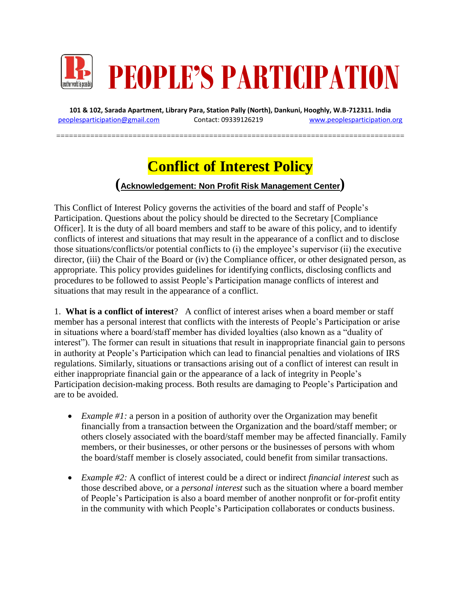

**101 & 102, Sarada Apartment, Library Para, Station Pally (North), Dankuni, Hooghly, W.B-712311. India** [peoplesparticipation@gmail.com](mailto:peoplesparticipation@gmail.com) Contact: 09339126219 [www.peoplesparticipation.org](http://www.peoplesparticipation.org/)

==================================================================================

# **Conflict of Interest Policy**

# **(Acknowledgement: Non Profit Risk Management Center)**

This Conflict of Interest Policy governs the activities of the board and staff of People's Participation. Questions about the policy should be directed to the Secretary [Compliance Officer]. It is the duty of all board members and staff to be aware of this policy, and to identify conflicts of interest and situations that may result in the appearance of a conflict and to disclose those situations/conflicts/or potential conflicts to (i) the employee's supervisor (ii) the executive director, (iii) the Chair of the Board or (iv) the Compliance officer, or other designated person, as appropriate. This policy provides guidelines for identifying conflicts, disclosing conflicts and procedures to be followed to assist People's Participation manage conflicts of interest and situations that may result in the appearance of a conflict.

1. **What is a conflict of interest**? A conflict of interest arises when a board member or staff member has a personal interest that conflicts with the interests of People's Participation or arise in situations where a board/staff member has divided loyalties (also known as a "duality of interest"). The former can result in situations that result in inappropriate financial gain to persons in authority at People's Participation which can lead to financial penalties and violations of IRS regulations. Similarly, situations or transactions arising out of a conflict of interest can result in either inappropriate financial gain or the appearance of a lack of integrity in People's Participation decision-making process. Both results are damaging to People's Participation and are to be avoided.

- *Example #1:* a person in a position of authority over the Organization may benefit financially from a transaction between the Organization and the board/staff member; or others closely associated with the board/staff member may be affected financially. Family members, or their businesses, or other persons or the businesses of persons with whom the board/staff member is closely associated, could benefit from similar transactions.
- *Example #2:* A conflict of interest could be a direct or indirect *financial interest* such as those described above, or a *personal interest* such as the situation where a board member of People's Participation is also a board member of another nonprofit or for-profit entity in the community with which People's Participation collaborates or conducts business.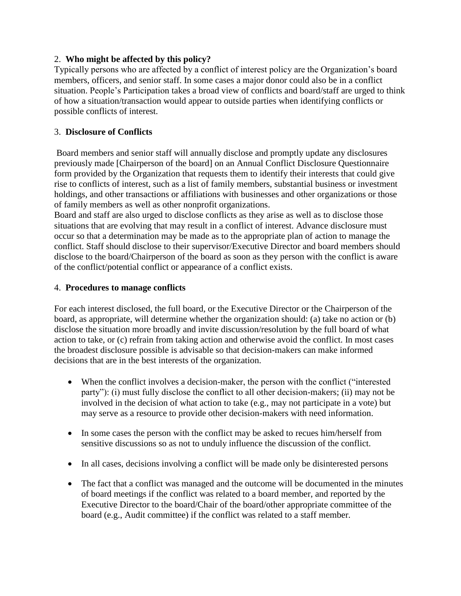#### 2. **Who might be affected by this policy?**

Typically persons who are affected by a conflict of interest policy are the Organization's board members, officers, and senior staff. In some cases a major donor could also be in a conflict situation. People's Participation takes a broad view of conflicts and board/staff are urged to think of how a situation/transaction would appear to outside parties when identifying conflicts or possible conflicts of interest.

## 3. **Disclosure of Conflicts**

Board members and senior staff will annually disclose and promptly update any disclosures previously made [Chairperson of the board] on an Annual Conflict Disclosure Questionnaire form provided by the Organization that requests them to identify their interests that could give rise to conflicts of interest, such as a list of family members, substantial business or investment holdings, and other transactions or affiliations with businesses and other organizations or those of family members as well as other nonprofit organizations.

Board and staff are also urged to disclose conflicts as they arise as well as to disclose those situations that are evolving that may result in a conflict of interest. Advance disclosure must occur so that a determination may be made as to the appropriate plan of action to manage the conflict. Staff should disclose to their supervisor/Executive Director and board members should disclose to the board/Chairperson of the board as soon as they person with the conflict is aware of the conflict/potential conflict or appearance of a conflict exists.

## 4. **Procedures to manage conflicts**

For each interest disclosed, the full board, or the Executive Director or the Chairperson of the board, as appropriate, will determine whether the organization should: (a) take no action or (b) disclose the situation more broadly and invite discussion/resolution by the full board of what action to take, or (c) refrain from taking action and otherwise avoid the conflict. In most cases the broadest disclosure possible is advisable so that decision-makers can make informed decisions that are in the best interests of the organization.

- When the conflict involves a decision-maker, the person with the conflict ("interested party"): (i) must fully disclose the conflict to all other decision-makers; (ii) may not be involved in the decision of what action to take (e.g., may not participate in a vote) but may serve as a resource to provide other decision-makers with need information.
- In some cases the person with the conflict may be asked to recues him/herself from sensitive discussions so as not to unduly influence the discussion of the conflict.
- In all cases, decisions involving a conflict will be made only be disinterested persons
- The fact that a conflict was managed and the outcome will be documented in the minutes of board meetings if the conflict was related to a board member, and reported by the Executive Director to the board/Chair of the board/other appropriate committee of the board (e.g., Audit committee) if the conflict was related to a staff member.